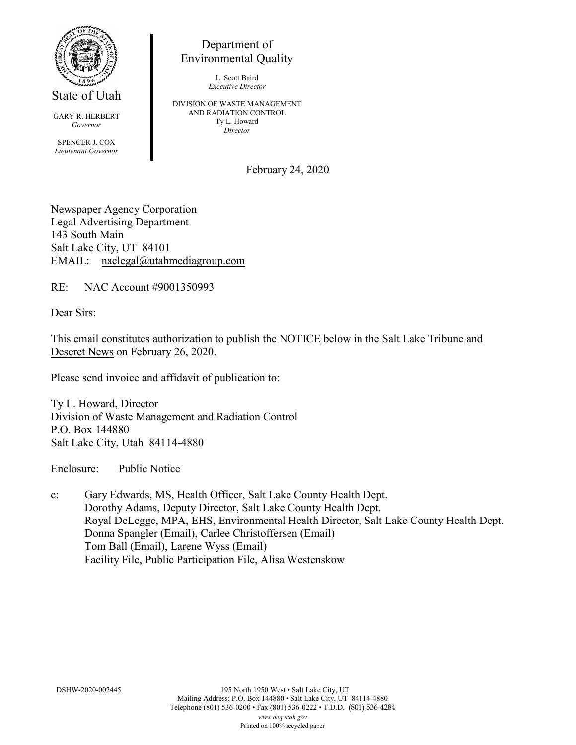

State of Utah

GARY R. HERBERT *Governor* SPENCER J. COX *Lieutenant Governor*

Department of Environmental Quality

> L. Scott Baird *Executive Director*

DIVISION OF WASTE MANAGEMENT AND RADIATION CONTROL Ty L. Howard *Director*

February 24, 2020

Newspaper Agency Corporation Legal Advertising Department 143 South Main Salt Lake City, UT 84101 EMAIL: naclegal@utahmediagroup.com

RE: NAC Account #9001350993

Dear Sirs:

This email constitutes authorization to publish the NOTICE below in the Salt Lake Tribune and Deseret News on February 26, 2020.

Please send invoice and affidavit of publication to:

Ty L. Howard, Director Division of Waste Management and Radiation Control P.O. Box 144880 Salt Lake City, Utah 84114-4880

Enclosure: Public Notice

c: Gary Edwards, MS, Health Officer, Salt Lake County Health Dept. Dorothy Adams, Deputy Director, Salt Lake County Health Dept. Royal DeLegge, MPA, EHS, Environmental Health Director, Salt Lake County Health Dept. Donna Spangler (Email), Carlee Christoffersen (Email) Tom Ball (Email), Larene Wyss (Email) Facility File, Public Participation File, Alisa Westenskow